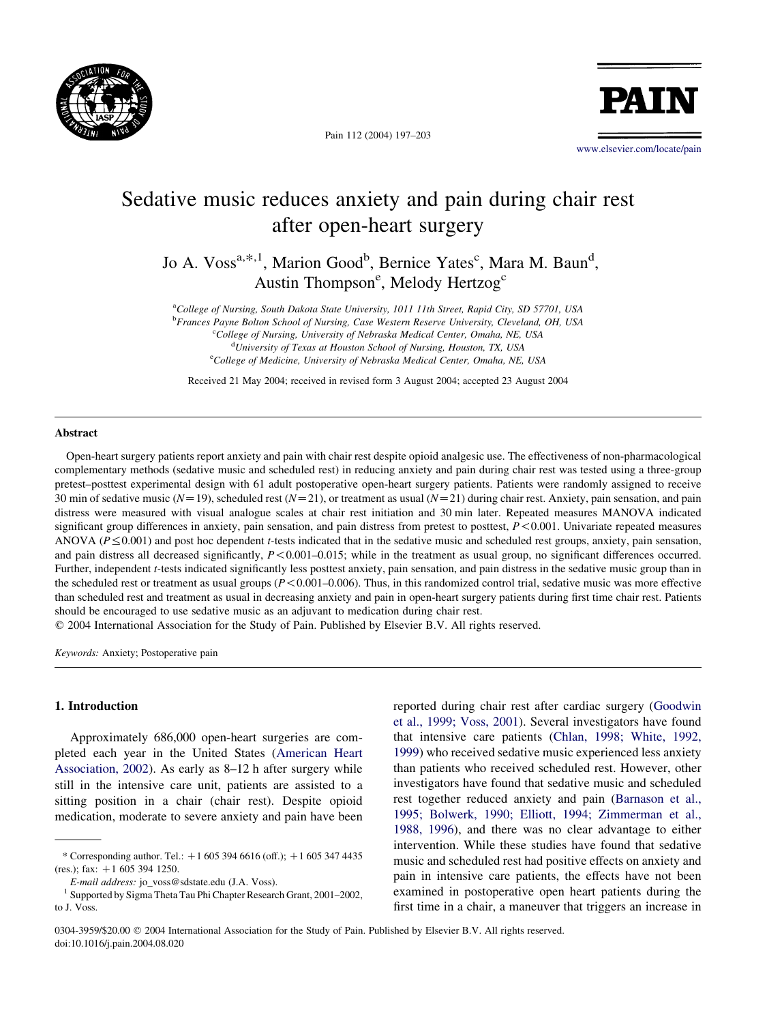

Pain 112 (2004) 197–203

PATI

[www.elsevier.com/locate/pain](http://www.elsevier.com/locate/pain)

# Sedative music reduces anxiety and pain during chair rest after open-heart surgery

Jo A. Voss<sup>a,\*,1</sup>, Marion Good<sup>b</sup>, Bernice Yates<sup>c</sup>, Mara M. Baun<sup>d</sup>, Austin Thompson<sup>e</sup>, Melody Hertzog<sup>c</sup>

<sup>a</sup>College of Nursing, South Dakota State University, 1011 11th Street, Rapid City, SD 57701, USA

**b** Frances Payne Bolton School of Nursing, Case Western Reserve University, Cleveland, OH, USA

<sup>c</sup>College of Nursing, University of Nebraska Medical Center, Omaha, NE, USA

<sup>d</sup>University of Texas at Houston School of Nursing, Houston, TX, USA

<sup>e</sup>College of Medicine, University of Nebraska Medical Center, Omaha, NE, USA

Received 21 May 2004; received in revised form 3 August 2004; accepted 23 August 2004

#### Abstract

Open-heart surgery patients report anxiety and pain with chair rest despite opioid analgesic use. The effectiveness of non-pharmacological complementary methods (sedative music and scheduled rest) in reducing anxiety and pain during chair rest was tested using a three-group pretest–posttest experimental design with 61 adult postoperative open-heart surgery patients. Patients were randomly assigned to receive 30 min of sedative music ( $N=19$ ), scheduled rest ( $N=21$ ), or treatment as usual ( $N=21$ ) during chair rest. Anxiety, pain sensation, and pain distress were measured with visual analogue scales at chair rest initiation and 30 min later. Repeated measures MANOVA indicated significant group differences in anxiety, pain sensation, and pain distress from pretest to posttest,  $P \le 0.001$ . Univariate repeated measures ANOVA ( $P \leq 0.001$ ) and post hoc dependent t-tests indicated that in the sedative music and scheduled rest groups, anxiety, pain sensation, and pain distress all decreased significantly,  $P < 0.001 - 0.015$ ; while in the treatment as usual group, no significant differences occurred. Further, independent *t*-tests indicated significantly less posttest anxiety, pain sensation, and pain distress in the sedative music group than in the scheduled rest or treatment as usual groups  $(P < 0.001-0.006)$ . Thus, in this randomized control trial, sedative music was more effective than scheduled rest and treatment as usual in decreasing anxiety and pain in open-heart surgery patients during first time chair rest. Patients should be encouraged to use sedative music as an adjuvant to medication during chair rest.

 $© 2004 International Association for the Study of Pain. Published by Elsevier B.V. All rights reserved.$ 

Keywords: Anxiety; Postoperative pain

#### 1. Introduction

Approximately 686,000 open-heart surgeries are completed each year in the United States ([American Heart](#page-6-0) [Association, 2002](#page-6-0)). As early as 8–12 h after surgery while still in the intensive care unit, patients are assisted to a sitting position in a chair (chair rest). Despite opioid medication, moderate to severe anxiety and pain have been

reported during chair rest after cardiac surgery ([Goodwin](#page-6-0) [et al., 1999; Voss, 2001\)](#page-6-0). Several investigators have found that intensive care patients ([Chlan, 1998; White, 1992,](#page-6-0) [1999](#page-6-0)) who received sedative music experienced less anxiety than patients who received scheduled rest. However, other investigators have found that sedative music and scheduled rest together reduced anxiety and pain ([Barnason et al.,](#page-6-0) [1995; Bolwerk, 1990; Elliott, 1994; Zimmerman et al.,](#page-6-0) [1988, 1996](#page-6-0)), and there was no clear advantage to either intervention. While these studies have found that sedative music and scheduled rest had positive effects on anxiety and pain in intensive care patients, the effects have not been examined in postoperative open heart patients during the first time in a chair, a maneuver that triggers an increase in

<sup>\*</sup> Corresponding author. Tel.:  $+16053946616$  (off.);  $+16053474435$ (res.); fax:  $+1$  605 394 1250.<br> *E-mail address:* jo\_voss@sdstate.edu (J.A. Voss).

Supported by Sigma Theta Tau Phi Chapter Research Grant, 2001–2002, to J. Voss.

<sup>0304-3959/\$20.00</sup> q 2004 International Association for the Study of Pain. Published by Elsevier B.V. All rights reserved. doi:10.1016/j.pain.2004.08.020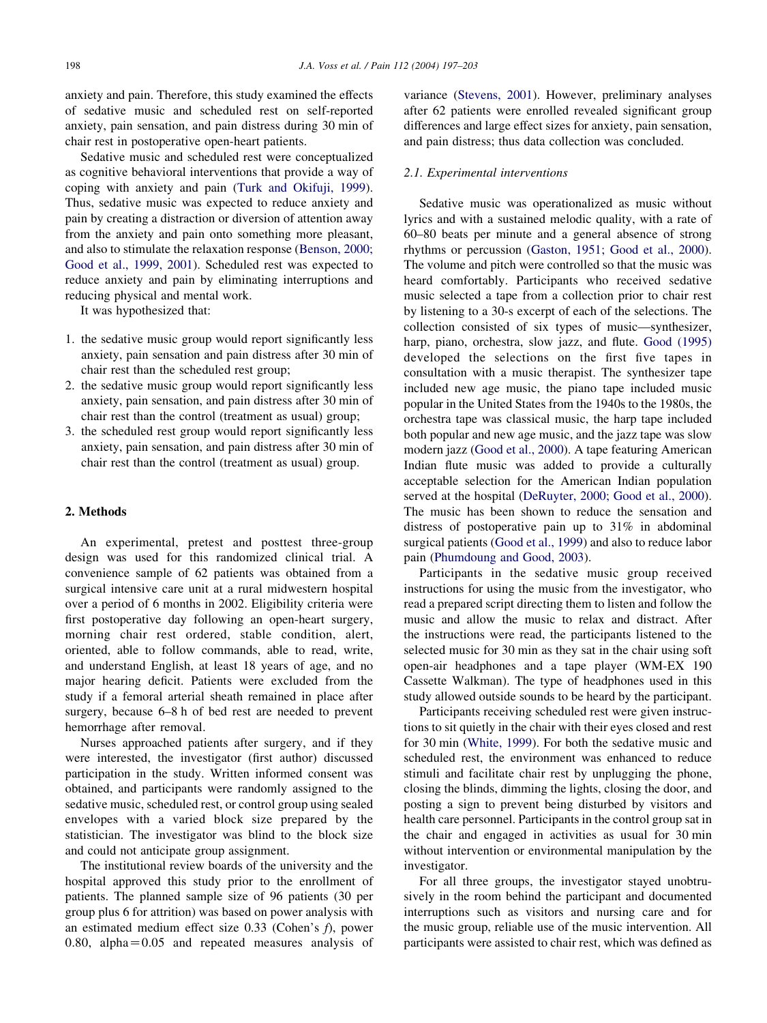anxiety and pain. Therefore, this study examined the effects of sedative music and scheduled rest on self-reported anxiety, pain sensation, and pain distress during 30 min of chair rest in postoperative open-heart patients.

Sedative music and scheduled rest were conceptualized as cognitive behavioral interventions that provide a way of coping with anxiety and pain [\(Turk and Okifuji, 1999\)](#page-6-0). Thus, sedative music was expected to reduce anxiety and pain by creating a distraction or diversion of attention away from the anxiety and pain onto something more pleasant, and also to stimulate the relaxation response [\(Benson, 2000;](#page-6-0) [Good et al., 1999, 2001\)](#page-6-0). Scheduled rest was expected to reduce anxiety and pain by eliminating interruptions and reducing physical and mental work.

It was hypothesized that:

- 1. the sedative music group would report significantly less anxiety, pain sensation and pain distress after 30 min of chair rest than the scheduled rest group;
- 2. the sedative music group would report significantly less anxiety, pain sensation, and pain distress after 30 min of chair rest than the control (treatment as usual) group;
- 3. the scheduled rest group would report significantly less anxiety, pain sensation, and pain distress after 30 min of chair rest than the control (treatment as usual) group.

#### 2. Methods

An experimental, pretest and posttest three-group design was used for this randomized clinical trial. A convenience sample of 62 patients was obtained from a surgical intensive care unit at a rural midwestern hospital over a period of 6 months in 2002. Eligibility criteria were first postoperative day following an open-heart surgery, morning chair rest ordered, stable condition, alert, oriented, able to follow commands, able to read, write, and understand English, at least 18 years of age, and no major hearing deficit. Patients were excluded from the study if a femoral arterial sheath remained in place after surgery, because 6–8 h of bed rest are needed to prevent hemorrhage after removal.

Nurses approached patients after surgery, and if they were interested, the investigator (first author) discussed participation in the study. Written informed consent was obtained, and participants were randomly assigned to the sedative music, scheduled rest, or control group using sealed envelopes with a varied block size prepared by the statistician. The investigator was blind to the block size and could not anticipate group assignment.

The institutional review boards of the university and the hospital approved this study prior to the enrollment of patients. The planned sample size of 96 patients (30 per group plus 6 for attrition) was based on power analysis with an estimated medium effect size 0.33 (Cohen's f), power 0.80, alpha $=$  0.05 and repeated measures analysis of variance ([Stevens, 2001\)](#page-6-0). However, preliminary analyses after 62 patients were enrolled revealed significant group differences and large effect sizes for anxiety, pain sensation, and pain distress; thus data collection was concluded.

#### 2.1. Experimental interventions

Sedative music was operationalized as music without lyrics and with a sustained melodic quality, with a rate of 60–80 beats per minute and a general absence of strong rhythms or percussion [\(Gaston, 1951; Good et al., 2000\)](#page-6-0). The volume and pitch were controlled so that the music was heard comfortably. Participants who received sedative music selected a tape from a collection prior to chair rest by listening to a 30-s excerpt of each of the selections. The collection consisted of six types of music—synthesizer, harp, piano, orchestra, slow jazz, and flute. [Good \(1995\)](#page-6-0) developed the selections on the first five tapes in consultation with a music therapist. The synthesizer tape included new age music, the piano tape included music popular in the United States from the 1940s to the 1980s, the orchestra tape was classical music, the harp tape included both popular and new age music, and the jazz tape was slow modern jazz ([Good et al., 2000\)](#page-6-0). A tape featuring American Indian flute music was added to provide a culturally acceptable selection for the American Indian population served at the hospital [\(DeRuyter, 2000; Good et al., 2000\)](#page-6-0). The music has been shown to reduce the sensation and distress of postoperative pain up to 31% in abdominal surgical patients [\(Good et al., 1999\)](#page-6-0) and also to reduce labor pain [\(Phumdoung and Good, 2003](#page-6-0)).

Participants in the sedative music group received instructions for using the music from the investigator, who read a prepared script directing them to listen and follow the music and allow the music to relax and distract. After the instructions were read, the participants listened to the selected music for 30 min as they sat in the chair using soft open-air headphones and a tape player (WM-EX 190 Cassette Walkman). The type of headphones used in this study allowed outside sounds to be heard by the participant.

Participants receiving scheduled rest were given instructions to sit quietly in the chair with their eyes closed and rest for 30 min ([White, 1999](#page-6-0)). For both the sedative music and scheduled rest, the environment was enhanced to reduce stimuli and facilitate chair rest by unplugging the phone, closing the blinds, dimming the lights, closing the door, and posting a sign to prevent being disturbed by visitors and health care personnel. Participants in the control group sat in the chair and engaged in activities as usual for 30 min without intervention or environmental manipulation by the investigator.

For all three groups, the investigator stayed unobtrusively in the room behind the participant and documented interruptions such as visitors and nursing care and for the music group, reliable use of the music intervention. All participants were assisted to chair rest, which was defined as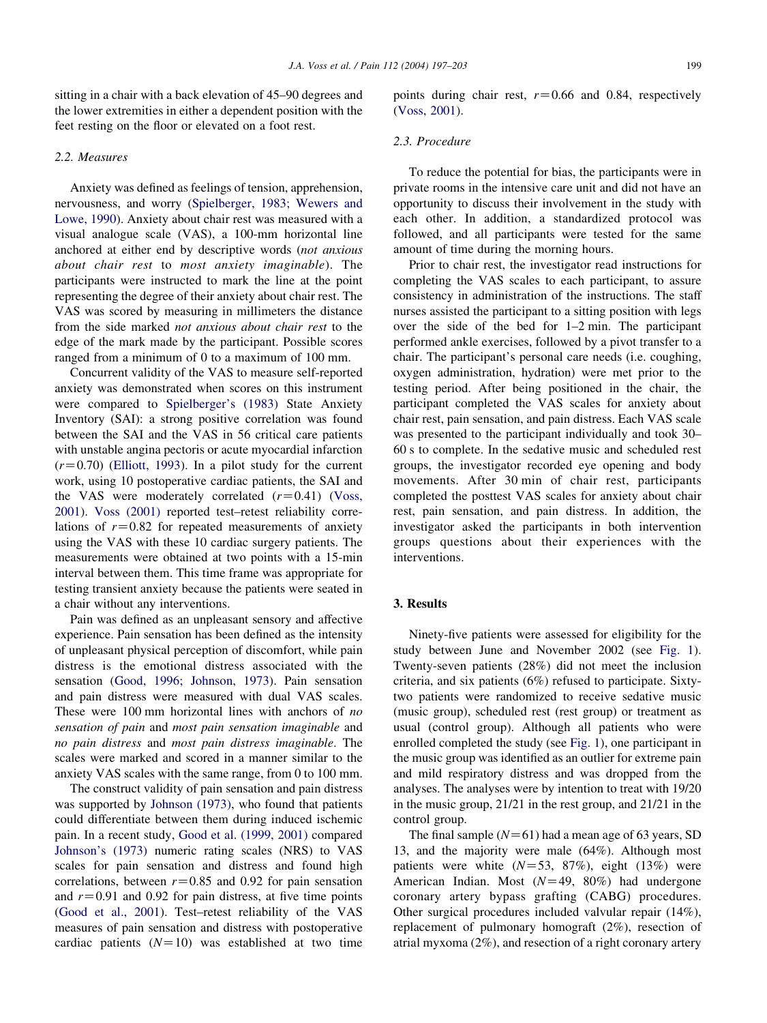sitting in a chair with a back elevation of 45–90 degrees and the lower extremities in either a dependent position with the feet resting on the floor or elevated on a foot rest.

## 2.2. Measures

Anxiety was defined as feelings of tension, apprehension, nervousness, and worry [\(Spielberger, 1983; Wewers and](#page-6-0) [Lowe, 1990](#page-6-0)). Anxiety about chair rest was measured with a visual analogue scale (VAS), a 100-mm horizontal line anchored at either end by descriptive words (not anxious about chair rest to most anxiety imaginable). The participants were instructed to mark the line at the point representing the degree of their anxiety about chair rest. The VAS was scored by measuring in millimeters the distance from the side marked not anxious about chair rest to the edge of the mark made by the participant. Possible scores ranged from a minimum of 0 to a maximum of 100 mm.

Concurrent validity of the VAS to measure self-reported anxiety was demonstrated when scores on this instrument were compared to [Spielberger's \(1983\)](#page-6-0) State Anxiety Inventory (SAI): a strong positive correlation was found between the SAI and the VAS in 56 critical care patients with unstable angina pectoris or acute myocardial infarction  $(r=0.70)$  [\(Elliott, 1993](#page-6-0)). In a pilot study for the current work, using 10 postoperative cardiac patients, the SAI and the VAS were moderately correlated  $(r=0.41)$  [\(Voss,](#page-6-0) [2001](#page-6-0)). [Voss \(2001\)](#page-6-0) reported test–retest reliability correlations of  $r=0.82$  for repeated measurements of anxiety using the VAS with these 10 cardiac surgery patients. The measurements were obtained at two points with a 15-min interval between them. This time frame was appropriate for testing transient anxiety because the patients were seated in a chair without any interventions.

Pain was defined as an unpleasant sensory and affective experience. Pain sensation has been defined as the intensity of unpleasant physical perception of discomfort, while pain distress is the emotional distress associated with the sensation ([Good, 1996; Johnson, 1973](#page-6-0)). Pain sensation and pain distress were measured with dual VAS scales. These were 100 mm horizontal lines with anchors of no sensation of pain and most pain sensation imaginable and no pain distress and most pain distress imaginable. The scales were marked and scored in a manner similar to the anxiety VAS scales with the same range, from 0 to 100 mm.

The construct validity of pain sensation and pain distress was supported by [Johnson \(1973\),](#page-6-0) who found that patients could differentiate between them during induced ischemic pain. In a recent study, [Good et al. \(1999, 2001\)](#page-6-0) compared [Johnson's \(1973\)](#page-6-0) numeric rating scales (NRS) to VAS scales for pain sensation and distress and found high correlations, between  $r=0.85$  and 0.92 for pain sensation and  $r=0.91$  and 0.92 for pain distress, at five time points ([Good et al., 2001](#page-6-0)). Test–retest reliability of the VAS measures of pain sensation and distress with postoperative cardiac patients  $(N=10)$  was established at two time

points during chair rest,  $r=0.66$  and 0.84, respectively ([Voss, 2001](#page-6-0)).

#### 2.3. Procedure

To reduce the potential for bias, the participants were in private rooms in the intensive care unit and did not have an opportunity to discuss their involvement in the study with each other. In addition, a standardized protocol was followed, and all participants were tested for the same amount of time during the morning hours.

Prior to chair rest, the investigator read instructions for completing the VAS scales to each participant, to assure consistency in administration of the instructions. The staff nurses assisted the participant to a sitting position with legs over the side of the bed for 1–2 min. The participant performed ankle exercises, followed by a pivot transfer to a chair. The participant's personal care needs (i.e. coughing, oxygen administration, hydration) were met prior to the testing period. After being positioned in the chair, the participant completed the VAS scales for anxiety about chair rest, pain sensation, and pain distress. Each VAS scale was presented to the participant individually and took 30– 60 s to complete. In the sedative music and scheduled rest groups, the investigator recorded eye opening and body movements. After 30 min of chair rest, participants completed the posttest VAS scales for anxiety about chair rest, pain sensation, and pain distress. In addition, the investigator asked the participants in both intervention groups questions about their experiences with the interventions.

## 3. Results

Ninety-five patients were assessed for eligibility for the study between June and November 2002 (see [Fig. 1\)](#page-3-0). Twenty-seven patients (28%) did not meet the inclusion criteria, and six patients (6%) refused to participate. Sixtytwo patients were randomized to receive sedative music (music group), scheduled rest (rest group) or treatment as usual (control group). Although all patients who were enrolled completed the study (see [Fig. 1](#page-3-0)), one participant in the music group was identified as an outlier for extreme pain and mild respiratory distress and was dropped from the analyses. The analyses were by intention to treat with 19/20 in the music group, 21/21 in the rest group, and 21/21 in the control group.

The final sample  $(N=61)$  had a mean age of 63 years, SD 13, and the majority were male (64%). Although most patients were white  $(N=53, 87\%)$ , eight (13%) were American Indian. Most  $(N=49, 80\%)$  had undergone coronary artery bypass grafting (CABG) procedures. Other surgical procedures included valvular repair (14%), replacement of pulmonary homograft (2%), resection of atrial myxoma (2%), and resection of a right coronary artery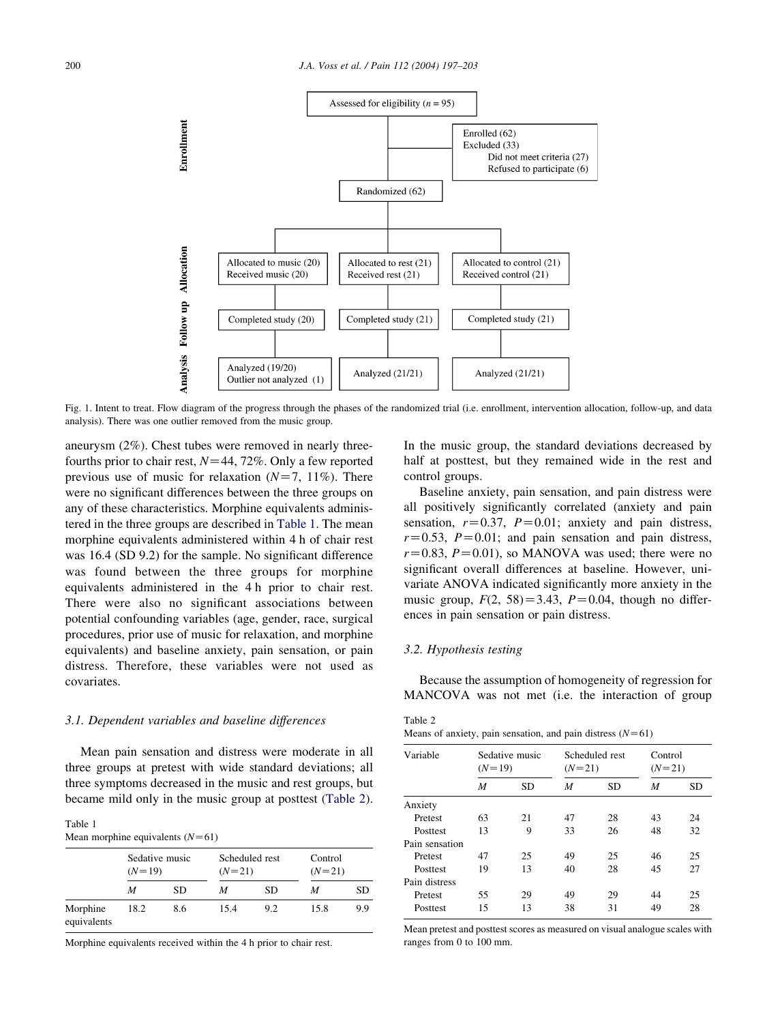<span id="page-3-0"></span>

Fig. 1. Intent to treat. Flow diagram of the progress through the phases of the randomized trial (i.e. enrollment, intervention allocation, follow-up, and data analysis). There was one outlier removed from the music group.

aneurysm (2%). Chest tubes were removed in nearly threefourths prior to chair rest,  $N=44$ , 72%. Only a few reported previous use of music for relaxation  $(N=7, 11\%)$ . There were no significant differences between the three groups on any of these characteristics. Morphine equivalents administered in the three groups are described in Table 1. The mean morphine equivalents administered within 4 h of chair rest was 16.4 (SD 9.2) for the sample. No significant difference was found between the three groups for morphine equivalents administered in the 4 h prior to chair rest. There were also no significant associations between potential confounding variables (age, gender, race, surgical procedures, prior use of music for relaxation, and morphine equivalents) and baseline anxiety, pain sensation, or pain distress. Therefore, these variables were not used as covariates.

#### 3.1. Dependent variables and baseline differences

Mean pain sensation and distress were moderate in all three groups at pretest with wide standard deviations; all three symptoms decreased in the music and rest groups, but became mild only in the music group at posttest (Table 2).

| Table 1                            |  |
|------------------------------------|--|
| Mean morphine equivalents $(N=61)$ |  |

|                         | $(N=19)$ | Sedative music |      | Scheduled rest<br>$(N=21)$ |      | Control<br>$(N=21)$ |
|-------------------------|----------|----------------|------|----------------------------|------|---------------------|
|                         | M        | SD             | M    | SD                         | M    | SD                  |
| Morphine<br>equivalents | 18.2     | 8.6            | 15.4 | 9.2                        | 15.8 | 9.9                 |

Morphine equivalents received within the 4 h prior to chair rest.

In the music group, the standard deviations decreased by half at posttest, but they remained wide in the rest and control groups.

Baseline anxiety, pain sensation, and pain distress were all positively significantly correlated (anxiety and pain sensation,  $r=0.37$ ,  $P=0.01$ ; anxiety and pain distress,  $r=0.53$ ,  $P=0.01$ ; and pain sensation and pain distress,  $r=0.83$ ,  $P=0.01$ ), so MANOVA was used; there were no significant overall differences at baseline. However, univariate ANOVA indicated significantly more anxiety in the music group,  $F(2, 58) = 3.43$ ,  $P = 0.04$ , though no differences in pain sensation or pain distress.

#### 3.2. Hypothesis testing

Because the assumption of homogeneity of regression for MANCOVA was not met (i.e. the interaction of group

Table 2 Means of anxiety, pain sensation, and pain distress  $(N=61)$ 

| Variable        | $(N=19)$ | Sedative music |    | Scheduled rest<br>$(N=21)$ |    | Control<br>$(N=21)$ |  |
|-----------------|----------|----------------|----|----------------------------|----|---------------------|--|
|                 | M        | <b>SD</b>      | M  | <b>SD</b>                  | M  | <b>SD</b>           |  |
| Anxiety         |          |                |    |                            |    |                     |  |
| Pretest         | 63       | 21             | 47 | 28                         | 43 | 24                  |  |
| <b>Posttest</b> | 13       | 9              | 33 | 26                         | 48 | 32                  |  |
| Pain sensation  |          |                |    |                            |    |                     |  |
| Pretest         | 47       | 25             | 49 | 25                         | 46 | 25                  |  |
| Posttest        | 19       | 13             | 40 | 28                         | 45 | 27                  |  |
| Pain distress   |          |                |    |                            |    |                     |  |
| Pretest         | 55       | 29             | 49 | 29                         | 44 | 25                  |  |
| Posttest        | 15       | 13             | 38 | 31                         | 49 | 28                  |  |
|                 |          |                |    |                            |    |                     |  |

Mean pretest and posttest scores as measured on visual analogue scales with ranges from 0 to 100 mm.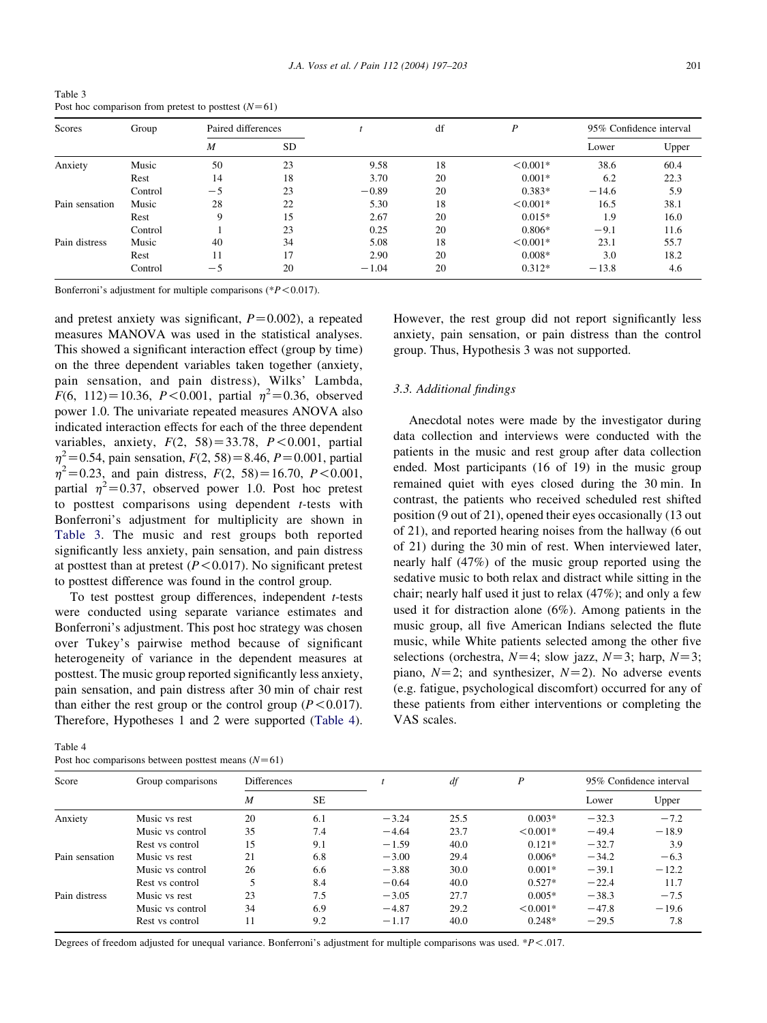| Scores         | Group   | Paired differences |           |         | df | D          |         | 95% Confidence interval |
|----------------|---------|--------------------|-----------|---------|----|------------|---------|-------------------------|
|                |         | M                  | <b>SD</b> |         |    |            | Lower   | Upper                   |
| Anxiety        | Music   | 50                 | 23        | 9.58    | 18 | $< 0.001*$ | 38.6    | 60.4                    |
|                | Rest    | 14                 | 18        | 3.70    | 20 | $0.001*$   | 6.2     | 22.3                    |
|                | Control | $-5$               | 23        | $-0.89$ | 20 | $0.383*$   | $-14.6$ | 5.9                     |
| Pain sensation | Music   | 28                 | 22        | 5.30    | 18 | $< 0.001*$ | 16.5    | 38.1                    |
|                | Rest    | 9                  | 15        | 2.67    | 20 | $0.015*$   | 1.9     | 16.0                    |
|                | Control |                    | 23        | 0.25    | 20 | $0.806*$   | $-9.1$  | 11.6                    |
| Pain distress  | Music   | 40                 | 34        | 5.08    | 18 | $< 0.001*$ | 23.1    | 55.7                    |
|                | Rest    | 11                 | 17        | 2.90    | 20 | $0.008*$   | 3.0     | 18.2                    |
|                | Control | $-5$               | 20        | $-1.04$ | 20 | $0.312*$   | $-13.8$ | 4.6                     |

<span id="page-4-0"></span>Table 3 Post hoc comparison from pretest to posttest  $(N=61)$ 

Bonferroni's adjustment for multiple comparisons ( $P$  < 0.017).

and pretest anxiety was significant,  $P=0.002$ ), a repeated measures MANOVA was used in the statistical analyses. This showed a significant interaction effect (group by time) on the three dependent variables taken together (anxiety, pain sensation, and pain distress), Wilks' Lambda,  $F(6, 112)=10.36, P<0.001$ , partial  $\eta^2=0.36$ , observed power 1.0. The univariate repeated measures ANOVA also indicated interaction effects for each of the three dependent variables, anxiety,  $F(2, 58) = 33.78$ ,  $P < 0.001$ , partial  $\eta^2$  = 0.54, pain sensation,  $F(2, 58)$  = 8.46, P = 0.001, partial  $\eta^2 = 0.23$ , and pain distress,  $F(2, 58) = 16.70$ ,  $P < 0.001$ , partial  $\eta^2 = 0.37$ , observed power 1.0. Post hoc pretest to posttest comparisons using dependent  $t$ -tests with Bonferroni's adjustment for multiplicity are shown in Table 3. The music and rest groups both reported significantly less anxiety, pain sensation, and pain distress at posttest than at pretest ( $P < 0.017$ ). No significant pretest to posttest difference was found in the control group.

To test posttest group differences, independent  $t$ -tests were conducted using separate variance estimates and Bonferroni's adjustment. This post hoc strategy was chosen over Tukey's pairwise method because of significant heterogeneity of variance in the dependent measures at posttest. The music group reported significantly less anxiety, pain sensation, and pain distress after 30 min of chair rest than either the rest group or the control group ( $P < 0.017$ ). Therefore, Hypotheses 1 and 2 were supported (Table 4).

| Table 4 |                                                      |  |  |
|---------|------------------------------------------------------|--|--|
|         | Post hoc comparisons between posttest means $(N=61)$ |  |  |

However, the rest group did not report significantly less anxiety, pain sensation, or pain distress than the control group. Thus, Hypothesis 3 was not supported.

## 3.3. Additional findings

Anecdotal notes were made by the investigator during data collection and interviews were conducted with the patients in the music and rest group after data collection ended. Most participants (16 of 19) in the music group remained quiet with eyes closed during the 30 min. In contrast, the patients who received scheduled rest shifted position (9 out of 21), opened their eyes occasionally (13 out of 21), and reported hearing noises from the hallway (6 out of 21) during the 30 min of rest. When interviewed later, nearly half (47%) of the music group reported using the sedative music to both relax and distract while sitting in the chair; nearly half used it just to relax (47%); and only a few used it for distraction alone (6%). Among patients in the music group, all five American Indians selected the flute music, while White patients selected among the other five selections (orchestra,  $N=4$ ; slow jazz,  $N=3$ ; harp,  $N=3$ ; piano,  $N=2$ ; and synthesizer,  $N=2$ ). No adverse events (e.g. fatigue, psychological discomfort) occurred for any of these patients from either interventions or completing the VAS scales.

| Score<br>Group comparisons |                  | <b>Differences</b> |     |         | df   | P          | 95% Confidence interval |         |
|----------------------------|------------------|--------------------|-----|---------|------|------------|-------------------------|---------|
|                            | $\boldsymbol{M}$ | <b>SE</b>          |     |         |      | Lower      | Upper                   |         |
| Anxiety                    | Music vs rest    | 20                 | 6.1 | $-3.24$ | 25.5 | $0.003*$   | $-32.3$                 | $-7.2$  |
|                            | Music vs control | 35                 | 7.4 | $-4.64$ | 23.7 | $< 0.001*$ | $-49.4$                 | $-18.9$ |
|                            | Rest vs control  | 15                 | 9.1 | $-1.59$ | 40.0 | $0.121*$   | $-32.7$                 | 3.9     |
| Pain sensation             | Music vs rest    | 21                 | 6.8 | $-3.00$ | 29.4 | $0.006*$   | $-34.2$                 | $-6.3$  |
|                            | Music vs control | 26                 | 6.6 | $-3.88$ | 30.0 | $0.001*$   | $-39.1$                 | $-12.2$ |
|                            | Rest vs control  | 5                  | 8.4 | $-0.64$ | 40.0 | $0.527*$   | $-22.4$                 | 11.7    |
| Pain distress              | Music vs rest    | 23                 | 7.5 | $-3.05$ | 27.7 | $0.005*$   | $-38.3$                 | $-7.5$  |
|                            | Music vs control | 34                 | 6.9 | $-4.87$ | 29.2 | $< 0.001*$ | $-47.8$                 | $-19.6$ |
|                            | Rest vs control  | 11                 | 9.2 | $-1.17$ | 40.0 | $0.248*$   | $-29.5$                 | 7.8     |

Degrees of freedom adjusted for unequal variance. Bonferroni's adjustment for multiple comparisons was used. \* $P$  <.017.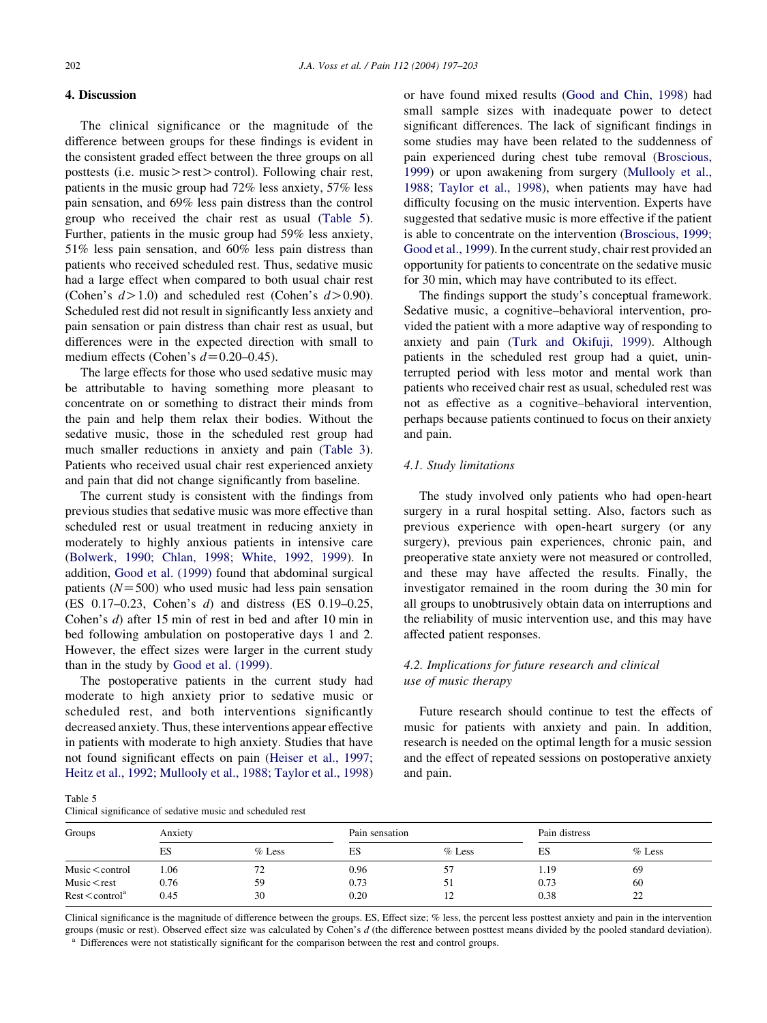## 4. Discussion

The clinical significance or the magnitude of the difference between groups for these findings is evident in the consistent graded effect between the three groups on all posttests (i.e. music $>$  rest $>$  control). Following chair rest, patients in the music group had 72% less anxiety, 57% less pain sensation, and 69% less pain distress than the control group who received the chair rest as usual (Table 5). Further, patients in the music group had 59% less anxiety, 51% less pain sensation, and 60% less pain distress than patients who received scheduled rest. Thus, sedative music had a large effect when compared to both usual chair rest (Cohen's  $d > 1.0$ ) and scheduled rest (Cohen's  $d > 0.90$ ). Scheduled rest did not result in significantly less anxiety and pain sensation or pain distress than chair rest as usual, but differences were in the expected direction with small to medium effects (Cohen's  $d=0.20-0.45$ ).

The large effects for those who used sedative music may be attributable to having something more pleasant to concentrate on or something to distract their minds from the pain and help them relax their bodies. Without the sedative music, those in the scheduled rest group had much smaller reductions in anxiety and pain [\(Table 3\)](#page-4-0). Patients who received usual chair rest experienced anxiety and pain that did not change significantly from baseline.

The current study is consistent with the findings from previous studies that sedative music was more effective than scheduled rest or usual treatment in reducing anxiety in moderately to highly anxious patients in intensive care ([Bolwerk, 1990; Chlan, 1998; White, 1992, 1999](#page-6-0)). In addition, [Good et al. \(1999\)](#page-6-0) found that abdominal surgical patients  $(N=500)$  who used music had less pain sensation (ES 0.17–0.23, Cohen's d) and distress (ES 0.19–0.25, Cohen's d) after 15 min of rest in bed and after 10 min in bed following ambulation on postoperative days 1 and 2. However, the effect sizes were larger in the current study than in the study by [Good et al. \(1999\)](#page-6-0).

The postoperative patients in the current study had moderate to high anxiety prior to sedative music or scheduled rest, and both interventions significantly decreased anxiety. Thus, these interventions appear effective in patients with moderate to high anxiety. Studies that have not found significant effects on pain [\(Heiser et al., 1997;](#page-6-0) [Heitz et al., 1992; Mullooly et al., 1988; Taylor et al., 1998](#page-6-0))

or have found mixed results ([Good and Chin, 1998\)](#page-6-0) had small sample sizes with inadequate power to detect significant differences. The lack of significant findings in some studies may have been related to the suddenness of pain experienced during chest tube removal [\(Broscious,](#page-6-0) [1999\)](#page-6-0) or upon awakening from surgery [\(Mullooly et al.,](#page-6-0) [1988; Taylor et al., 1998\)](#page-6-0), when patients may have had difficulty focusing on the music intervention. Experts have suggested that sedative music is more effective if the patient is able to concentrate on the intervention ([Broscious, 1999;](#page-6-0) [Good et al., 1999](#page-6-0)). In the current study, chair rest provided an opportunity for patients to concentrate on the sedative music for 30 min, which may have contributed to its effect.

The findings support the study's conceptual framework. Sedative music, a cognitive–behavioral intervention, provided the patient with a more adaptive way of responding to anxiety and pain ([Turk and Okifuji, 1999\)](#page-6-0). Although patients in the scheduled rest group had a quiet, uninterrupted period with less motor and mental work than patients who received chair rest as usual, scheduled rest was not as effective as a cognitive–behavioral intervention, perhaps because patients continued to focus on their anxiety and pain.

#### 4.1. Study limitations

The study involved only patients who had open-heart surgery in a rural hospital setting. Also, factors such as previous experience with open-heart surgery (or any surgery), previous pain experiences, chronic pain, and preoperative state anxiety were not measured or controlled, and these may have affected the results. Finally, the investigator remained in the room during the 30 min for all groups to unobtrusively obtain data on interruptions and the reliability of music intervention use, and this may have affected patient responses.

## 4.2. Implications for future research and clinical use of music therapy

Future research should continue to test the effects of music for patients with anxiety and pain. In addition, research is needed on the optimal length for a music session and the effect of repeated sessions on postoperative anxiety and pain.

Table 5

| Clinical significance of sedative music and scheduled rest |  |  |  |  |
|------------------------------------------------------------|--|--|--|--|
|------------------------------------------------------------|--|--|--|--|

| Anxiety<br>Groups             |      | Pain sensation |      |          | Pain distress |          |
|-------------------------------|------|----------------|------|----------|---------------|----------|
|                               | ES   | $%$ Less       | ES   | $%$ Less | ES            | $%$ Less |
| $Music <$ control             | 1.06 | 72             | 0.96 | 57       | 1.19          | 69       |
| Music $<$ rest                | 0.76 | 59             | 0.73 | 51       | 0.73          | 60       |
| $Rest <$ control <sup>a</sup> | 0.45 | 30             | 0.20 | ∸        | 0.38          | 22       |

Clinical significance is the magnitude of difference between the groups. ES, Effect size; % less, the percent less posttest anxiety and pain in the intervention groups (music or rest). Observed effect size was calculated by Cohen's  $d$  (the difference between posttest means divided by the pooled standard deviation). <sup>a</sup> Differences were not statistically significant for the comparison between the rest and control groups.